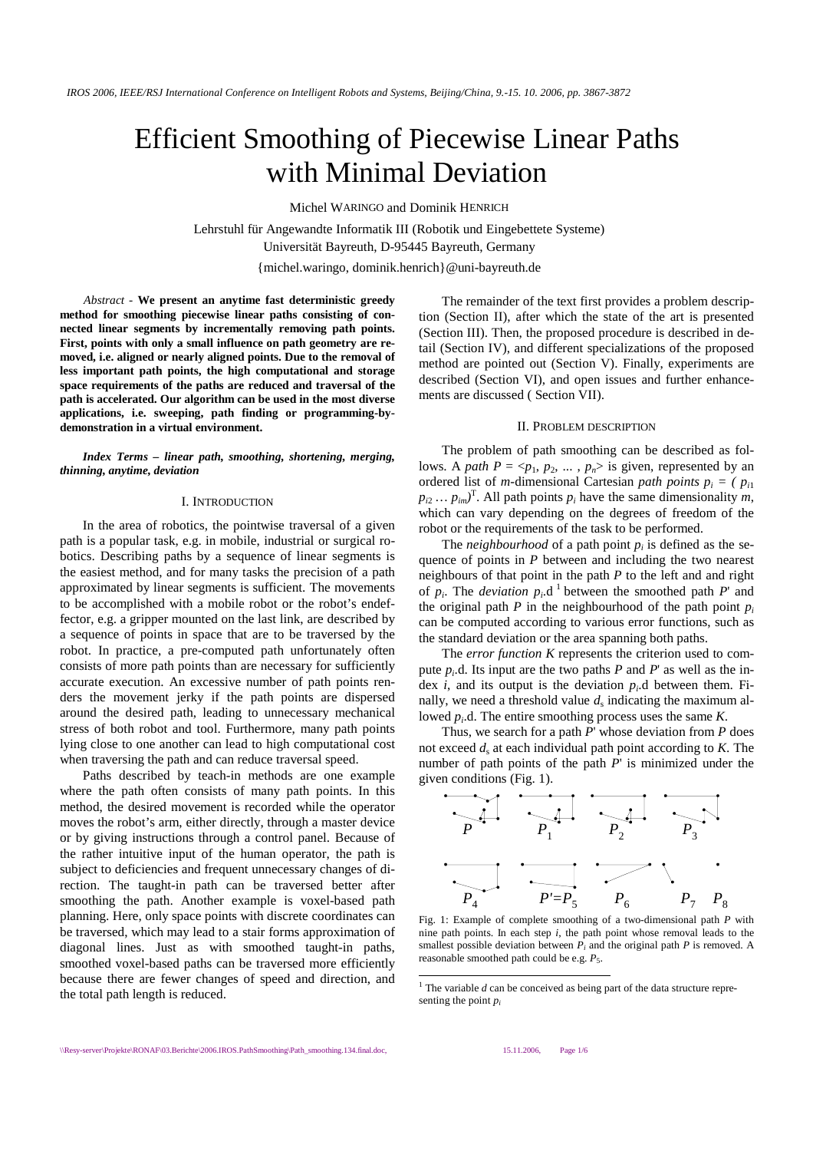*IROS 2006, IEEE/RSJ International Conference on Intelligent Robots and Systems, Beijing/China, 9.-15. 10. 2006, pp. 3867-3872* 

# Efficient Smoothing of Piecewise Linear Paths with Minimal Deviation

Michel WARINGO and Dominik HENRICH

Lehrstuhl für Angewandte Informatik III (Robotik und Eingebettete Systeme) Universität Bayreuth, D-95445 Bayreuth, Germany {michel.waringo, dominik.henrich}@uni-bayreuth.de

*Abstract* - **We present an anytime fast deterministic greedy method for smoothing piecewise linear paths consisting of connected linear segments by incrementally removing path points. First, points with only a small influence on path geometry are removed, i.e. aligned or nearly aligned points. Due to the removal of less important path points, the high computational and storage space requirements of the paths are reduced and traversal of the path is accelerated. Our algorithm can be used in the most diverse applications, i.e. sweeping, path finding or programming-bydemonstration in a virtual environment.**

*Index Terms – linear path, smoothing, shortening, merging, thinning, anytime, deviation* 

#### I. INTRODUCTION

In the area of robotics, the pointwise traversal of a given path is a popular task, e.g. in mobile, industrial or surgical robotics. Describing paths by a sequence of linear segments is the easiest method, and for many tasks the precision of a path approximated by linear segments is sufficient. The movements to be accomplished with a mobile robot or the robot's endeffector, e.g. a gripper mounted on the last link, are described by a sequence of points in space that are to be traversed by the robot. In practice, a pre-computed path unfortunately often consists of more path points than are necessary for sufficiently accurate execution. An excessive number of path points renders the movement jerky if the path points are dispersed around the desired path, leading to unnecessary mechanical stress of both robot and tool. Furthermore, many path points lying close to one another can lead to high computational cost when traversing the path and can reduce traversal speed.

Paths described by teach-in methods are one example where the path often consists of many path points. In this method, the desired movement is recorded while the operator moves the robot's arm, either directly, through a master device or by giving instructions through a control panel. Because of the rather intuitive input of the human operator, the path is subject to deficiencies and frequent unnecessary changes of direction. The taught-in path can be traversed better after smoothing the path. Another example is voxel-based path planning. Here, only space points with discrete coordinates can be traversed, which may lead to a stair forms approximation of diagonal lines. Just as with smoothed taught-in paths, smoothed voxel-based paths can be traversed more efficiently because there are fewer changes of speed and direction, and the total path length is reduced.

The remainder of the text first provides a problem description (Section II), after which the state of the art is presented (Section III). Then, the proposed procedure is described in detail (Section IV), and different specializations of the proposed method are pointed out (Section V). Finally, experiments are described (Section VI), and open issues and further enhancements are discussed ( Section VII).

# II. PROBLEM DESCRIPTION

The problem of path smoothing can be described as follows. A *path*  $P = \langle p_1, p_2, \dots, p_n \rangle$  is given, represented by an ordered list of *m*-dimensional Cartesian *path points*  $p_i = (p_{i1})$  $p_{i2}$  ...  $p_{im}$ <sup>T</sup>. All path points  $p_i$  have the same dimensionality *m*, which can vary depending on the degrees of freedom of the robot or the requirements of the task to be performed.

The *neighbourhood* of a path point  $p_i$  is defined as the sequence of points in *P* between and including the two nearest neighbours of that point in the path *P* to the left and and right of  $p_i$ . The *deviation*  $p_i$ , d<sup>1</sup> between the smoothed path  $P'$  and the original path *P* in the neighbourhood of the path point  $p_i$ can be computed according to various error functions, such as the standard deviation or the area spanning both paths.

The *error function K* represents the criterion used to compute  $p_i$ .d. Its input are the two paths *P* and *P'* as well as the index  $i$ , and its output is the deviation  $p_i$ .d between them. Finally, we need a threshold value  $d_s$  indicating the maximum allowed *pi*.d. The entire smoothing process uses the same *K*.

Thus, we search for a path *P*' whose deviation from *P* does not exceed  $d_s$  at each individual path point according to  $K$ . The number of path points of the path *P*' is minimized under the given conditions (Fig. 1).



Fig. 1: Example of complete smoothing of a two-dimensional path *P* with nine path points. In each step *i*, the path point whose removal leads to the smallest possible deviation between  $P_i$  and the original path  $P$  is removed. A reasonable smoothed path could be e.g. *P*5.

1

<sup>&</sup>lt;sup>1</sup> The variable  $d$  can be conceived as being part of the data structure representing the point *pi*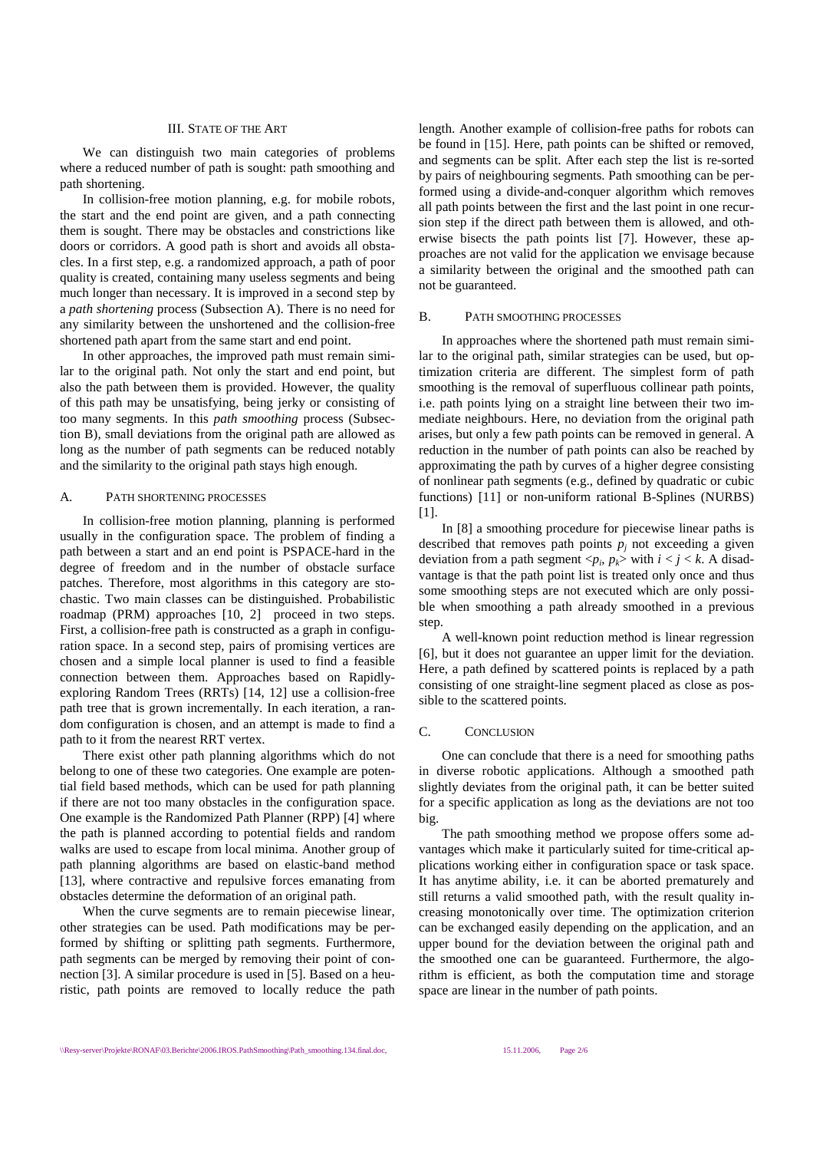## III. STATE OF THE ART

We can distinguish two main categories of problems where a reduced number of path is sought: path smoothing and path shortening.

In collision-free motion planning, e.g. for mobile robots, the start and the end point are given, and a path connecting them is sought. There may be obstacles and constrictions like doors or corridors. A good path is short and avoids all obstacles. In a first step, e.g. a randomized approach, a path of poor quality is created, containing many useless segments and being much longer than necessary. It is improved in a second step by a *path shortening* process (Subsection A). There is no need for any similarity between the unshortened and the collision-free shortened path apart from the same start and end point.

In other approaches, the improved path must remain similar to the original path. Not only the start and end point, but also the path between them is provided. However, the quality of this path may be unsatisfying, being jerky or consisting of too many segments. In this *path smoothing* process (Subsection B), small deviations from the original path are allowed as long as the number of path segments can be reduced notably and the similarity to the original path stays high enough.

#### A. PATH SHORTENING PROCESSES

In collision-free motion planning, planning is performed usually in the configuration space. The problem of finding a path between a start and an end point is PSPACE-hard in the degree of freedom and in the number of obstacle surface patches. Therefore, most algorithms in this category are stochastic. Two main classes can be distinguished. Probabilistic roadmap (PRM) approaches [10, 2] proceed in two steps. First, a collision-free path is constructed as a graph in configuration space. In a second step, pairs of promising vertices are chosen and a simple local planner is used to find a feasible connection between them. Approaches based on Rapidlyexploring Random Trees (RRTs) [14, 12] use a collision-free path tree that is grown incrementally. In each iteration, a random configuration is chosen, and an attempt is made to find a path to it from the nearest RRT vertex.

There exist other path planning algorithms which do not belong to one of these two categories. One example are potential field based methods, which can be used for path planning if there are not too many obstacles in the configuration space. One example is the Randomized Path Planner (RPP) [4] where the path is planned according to potential fields and random walks are used to escape from local minima. Another group of path planning algorithms are based on elastic-band method [13], where contractive and repulsive forces emanating from obstacles determine the deformation of an original path.

When the curve segments are to remain piecewise linear, other strategies can be used. Path modifications may be performed by shifting or splitting path segments. Furthermore, path segments can be merged by removing their point of connection [3]. A similar procedure is used in [5]. Based on a heuristic, path points are removed to locally reduce the path length. Another example of collision-free paths for robots can be found in [15]. Here, path points can be shifted or removed, and segments can be split. After each step the list is re-sorted by pairs of neighbouring segments. Path smoothing can be performed using a divide-and-conquer algorithm which removes all path points between the first and the last point in one recursion step if the direct path between them is allowed, and otherwise bisects the path points list [7]. However, these approaches are not valid for the application we envisage because a similarity between the original and the smoothed path can not be guaranteed.

## B. PATH SMOOTHING PROCESSES

In approaches where the shortened path must remain similar to the original path, similar strategies can be used, but optimization criteria are different. The simplest form of path smoothing is the removal of superfluous collinear path points, i.e. path points lying on a straight line between their two immediate neighbours. Here, no deviation from the original path arises, but only a few path points can be removed in general. A reduction in the number of path points can also be reached by approximating the path by curves of a higher degree consisting of nonlinear path segments (e.g., defined by quadratic or cubic functions) [11] or non-uniform rational B-Splines (NURBS) [1].

In [8] a smoothing procedure for piecewise linear paths is described that removes path points  $p_i$  not exceeding a given deviation from a path segment  $\langle p_i, p_k \rangle$  with  $i \langle j \rangle < k$ . A disadvantage is that the path point list is treated only once and thus some smoothing steps are not executed which are only possible when smoothing a path already smoothed in a previous step.

A well-known point reduction method is linear regression [6], but it does not guarantee an upper limit for the deviation. Here, a path defined by scattered points is replaced by a path consisting of one straight-line segment placed as close as possible to the scattered points.

## C. CONCLUSION

One can conclude that there is a need for smoothing paths in diverse robotic applications. Although a smoothed path slightly deviates from the original path, it can be better suited for a specific application as long as the deviations are not too big.

The path smoothing method we propose offers some advantages which make it particularly suited for time-critical applications working either in configuration space or task space. It has anytime ability, i.e. it can be aborted prematurely and still returns a valid smoothed path, with the result quality increasing monotonically over time. The optimization criterion can be exchanged easily depending on the application, and an upper bound for the deviation between the original path and the smoothed one can be guaranteed. Furthermore, the algorithm is efficient, as both the computation time and storage space are linear in the number of path points.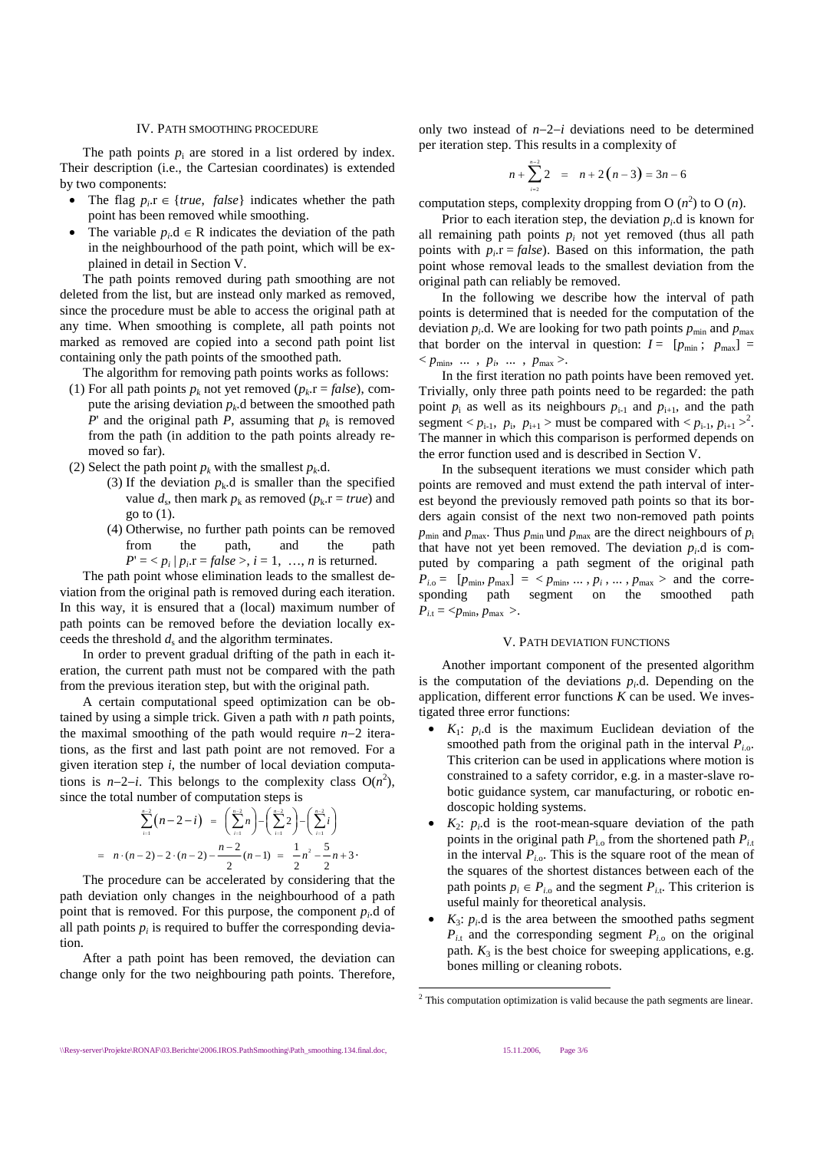### IV. PATH SMOOTHING PROCEDURE

The path points  $p_i$  are stored in a list ordered by index. Their description (i.e., the Cartesian coordinates) is extended by two components:

- The flag  $p_i$ .r  $\in \{true, false\}$  indicates whether the path point has been removed while smoothing.
- -The variable  $p_i$ .d  $\in$  R indicates the deviation of the path in the neighbourhood of the path point, which will be explained in detail in Section V.

The path points removed during path smoothing are not deleted from the list, but are instead only marked as removed, since the procedure must be able to access the original path at any time. When smoothing is complete, all path points not marked as removed are copied into a second path point list containing only the path points of the smoothed path.

The algorithm for removing path points works as follows:

- (1) For all path points  $p_k$  not yet removed ( $p_k$ .r = *false*), compute the arising deviation  $p_k$ .d between the smoothed path  $P'$  and the original path *P*, assuming that  $p_k$  is removed from the path (in addition to the path points already removed so far).
- (2) Select the path point  $p_k$  with the smallest  $p_k$ .d.
	- (3) If the deviation  $p_k$ .d is smaller than the specified value  $d_s$ , then mark  $p_k$  as removed ( $p_k$ .r = *true*) and go to (1).
	- (4) Otherwise, no further path points can be removed from the path, and the path  $P' = \langle p_i | p_i$ .r = *false* >, *i* = 1, ..., *n* is returned.

The path point whose elimination leads to the smallest deviation from the original path is removed during each iteration. In this way, it is ensured that a (local) maximum number of path points can be removed before the deviation locally exceeds the threshold  $d_s$  and the algorithm terminates.

In order to prevent gradual drifting of the path in each iteration, the current path must not be compared with the path from the previous iteration step, but with the original path.

A certain computational speed optimization can be obtained by using a simple trick. Given a path with *n* path points, the maximal smoothing of the path would require  $n-2$  iterations, as the first and last path point are not removed. For a given iteration step *i*, the number of local deviation computations is  $n-2-i$ . This belongs to the complexity class  $O(n^2)$ , since the total number of computation steps is

$$
\sum_{i=1}^{n-2} (n-2-i) = \left(\sum_{i=1}^{n-2} n\right) - \left(\sum_{i=1}^{n-2} 2\right) - \left(\sum_{i=1}^{n-2} 2\right)
$$
  
=  $n \cdot (n-2) - 2 \cdot (n-2) - \frac{n-2}{2} (n-1) = \frac{1}{2} n^2 - \frac{5}{2} n + 3$ 

The procedure can be accelerated by considering that the path deviation only changes in the neighbourhood of a path point that is removed. For this purpose, the component  $p_i$  d of all path points  $p_i$  is required to buffer the corresponding deviation.

After a path point has been removed, the deviation can change only for the two neighbouring path points. Therefore,

only two instead of  $n-2-i$  deviations need to be determined per iteration step. This results in a complexity of

$$
n+\sum_{i=2}^{n-2} 2 = n+2(n-3) = 3n-6
$$

computation steps, complexity dropping from O  $(n^2)$  to O  $(n)$ .

Prior to each iteration step, the deviation  $p_i$ .d is known for all remaining path points  $p_i$  not yet removed (thus all path points with  $p_i$ .r = *false*). Based on this information, the path point whose removal leads to the smallest deviation from the original path can reliably be removed.

In the following we describe how the interval of path points is determined that is needed for the computation of the deviation  $p_i$ .d. We are looking for two path points  $p_{\min}$  and  $p_{\max}$ that border on the interval in question:  $I = [p_{min}; p_{max}] =$  $\n \ \, P_{\min}, \ldots, p_i, \ldots, p_{\max}.\n$ 

In the first iteration no path points have been removed yet. Trivially, only three path points need to be regarded: the path point  $p_i$  as well as its neighbours  $p_{i-1}$  and  $p_{i+1}$ , and the path segment  $\langle p_{i-1}, p_i, p_{i+1} \rangle$  must be compared with  $\langle p_{i-1}, p_{i+1} \rangle^2$ . The manner in which this comparison is performed depends on the error function used and is described in Section V.

In the subsequent iterations we must consider which path points are removed and must extend the path interval of interest beyond the previously removed path points so that its borders again consist of the next two non-removed path points  $p_{\text{min}}$  and  $p_{\text{max}}$ . Thus  $p_{\text{min}}$  und  $p_{\text{max}}$  are the direct neighbours of  $p_i$ that have not yet been removed. The deviation  $p_i$ , d is computed by comparing a path segment of the original path  $P_{i,o} = [p_{min}, p_{max}] = \langle p_{min}, \dots, p_i, \dots, p_{max} \rangle$  and the corresponding path segment on the smoothed path  $P_{i,t} = \langle p_{\min}, p_{\max} \rangle$ .

## V. PATH DEVIATION FUNCTIONS

Another important component of the presented algorithm is the computation of the deviations  $p_i$ .d. Depending on the application, different error functions *K* can be used. We investigated three error functions:

- $\bullet$   $K_1$ :  $p_i$ .d is the maximum Euclidean deviation of the smoothed path from the original path in the interval  $P_{i<sub>o</sub>}$ . This criterion can be used in applications where motion is constrained to a safety corridor, e.g. in a master-slave robotic guidance system, car manufacturing, or robotic endoscopic holding systems.
- - $K_2$ :  $p_i$ .d is the root-mean-square deviation of the path points in the original path  $P_{i,o}$  from the shortened path  $P_{i,t}$ in the interval  $P_{i,o}$ . This is the square root of the mean of the squares of the shortest distances between each of the path points  $p_i \in P_{i,o}$  and the segment  $P_{i,t}$ . This criterion is useful mainly for theoretical analysis.
- - $K_3$ :  $p_i$ .d is the area between the smoothed paths segment  $P_{i}$  and the corresponding segment  $P_{i}$  on the original path.  $K_3$  is the best choice for sweeping applications, e.g. bones milling or cleaning robots.

1

 $2$ <sup>2</sup> This computation optimization is valid because the path segments are linear.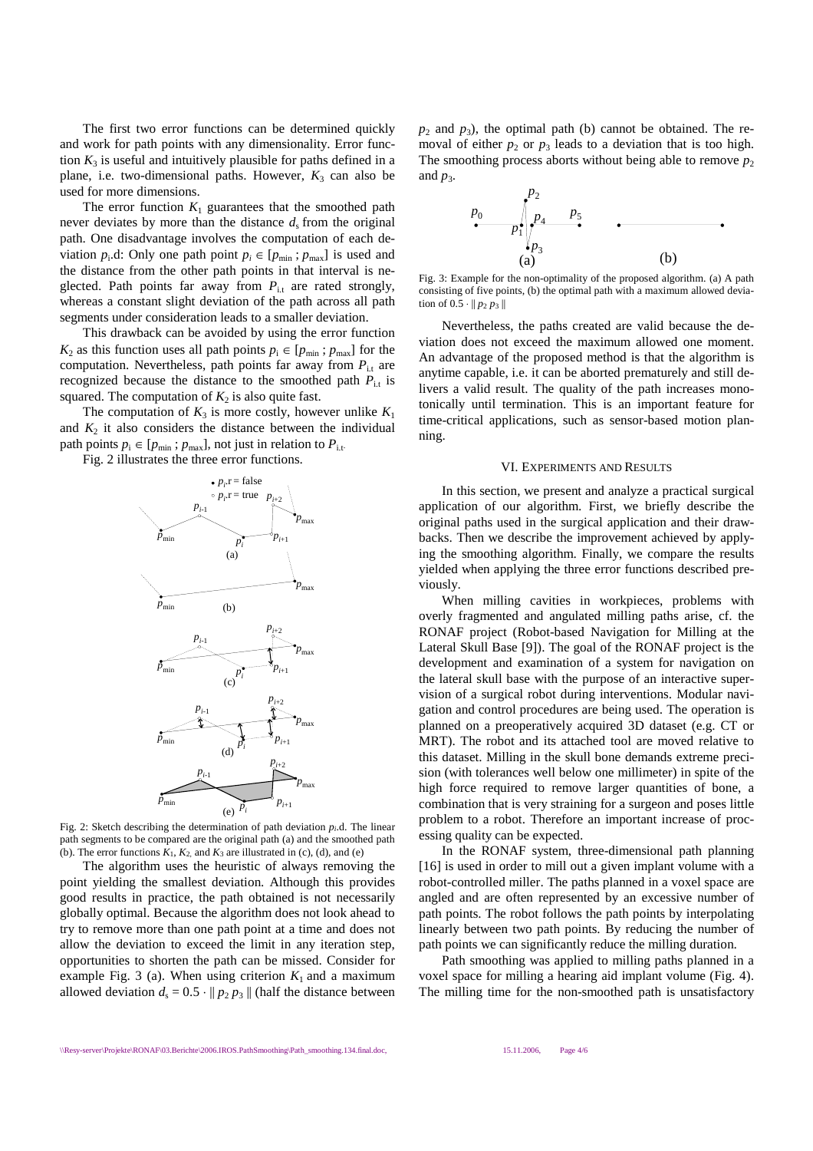The first two error functions can be determined quickly and work for path points with any dimensionality. Error function  $K_3$  is useful and intuitively plausible for paths defined in a plane, i.e. two-dimensional paths. However,  $K_3$  can also be used for more dimensions.

The error function  $K_1$  guarantees that the smoothed path never deviates by more than the distance  $d_s$  from the original path. One disadvantage involves the computation of each deviation  $p_i$ .d: Only one path point  $p_i \in [p_{\min}; p_{\max}]$  is used and the distance from the other path points in that interval is neglected. Path points far away from  $P_{i,t}$  are rated strongly, whereas a constant slight deviation of the path across all path segments under consideration leads to a smaller deviation.

This drawback can be avoided by using the error function  $K_2$  as this function uses all path points  $p_i \in [p_{\min}; p_{\max}]$  for the computation. Nevertheless, path points far away from  $P_{i,t}$  are recognized because the distance to the smoothed path  $P_{i,t}$  is squared. The computation of  $K_2$  is also quite fast.

The computation of  $K_3$  is more costly, however unlike  $K_1$ and  $K_2$  it also considers the distance between the individual path points  $p_i \in [p_{min}; p_{max}]$ , not just in relation to  $P_{i,t}$ .

Fig. 2 illustrates the three error functions.



Fig. 2: Sketch describing the determination of path deviation  $p_i$ .d. The linear path segments to be compared are the original path (a) and the smoothed path (b). The error functions  $K_1$ ,  $K_2$ , and  $K_3$  are illustrated in (c), (d), and (e)

The algorithm uses the heuristic of always removing the point yielding the smallest deviation. Although this provides good results in practice, the path obtained is not necessarily globally optimal. Because the algorithm does not look ahead to try to remove more than one path point at a time and does not allow the deviation to exceed the limit in any iteration step, opportunities to shorten the path can be missed. Consider for example Fig. 3 (a). When using criterion  $K_1$  and a maximum allowed deviation  $d_s = 0.5 \cdot ||p_2 p_3||$  (half the distance between

 $p_2$  and  $p_3$ ), the optimal path (b) cannot be obtained. The removal of either  $p_2$  or  $p_3$  leads to a deviation that is too high. The smoothing process aborts without being able to remove  $p_2$ and  $p_3$ .



Fig. 3: Example for the non-optimality of the proposed algorithm. (a) A path consisting of five points, (b) the optimal path with a maximum allowed deviation of  $0.5 \cdot || p_2 p_3 ||$ 

Nevertheless, the paths created are valid because the deviation does not exceed the maximum allowed one moment. An advantage of the proposed method is that the algorithm is anytime capable, i.e. it can be aborted prematurely and still delivers a valid result. The quality of the path increases monotonically until termination. This is an important feature for time-critical applications, such as sensor-based motion planning.

#### VI. EXPERIMENTS AND RESULTS

In this section, we present and analyze a practical surgical application of our algorithm. First, we briefly describe the original paths used in the surgical application and their drawbacks. Then we describe the improvement achieved by applying the smoothing algorithm. Finally, we compare the results yielded when applying the three error functions described previously.

When milling cavities in workpieces, problems with overly fragmented and angulated milling paths arise, cf. the RONAF project (Robot-based Navigation for Milling at the Lateral Skull Base [9]). The goal of the RONAF project is the development and examination of a system for navigation on the lateral skull base with the purpose of an interactive supervision of a surgical robot during interventions. Modular navigation and control procedures are being used. The operation is planned on a preoperatively acquired 3D dataset (e.g. CT or MRT). The robot and its attached tool are moved relative to this dataset. Milling in the skull bone demands extreme precision (with tolerances well below one millimeter) in spite of the high force required to remove larger quantities of bone, a combination that is very straining for a surgeon and poses little problem to a robot. Therefore an important increase of processing quality can be expected.

In the RONAF system, three-dimensional path planning [16] is used in order to mill out a given implant volume with a robot-controlled miller. The paths planned in a voxel space are angled and are often represented by an excessive number of path points. The robot follows the path points by interpolating linearly between two path points. By reducing the number of path points we can significantly reduce the milling duration.

Path smoothing was applied to milling paths planned in a voxel space for milling a hearing aid implant volume (Fig. 4). The milling time for the non-smoothed path is unsatisfactory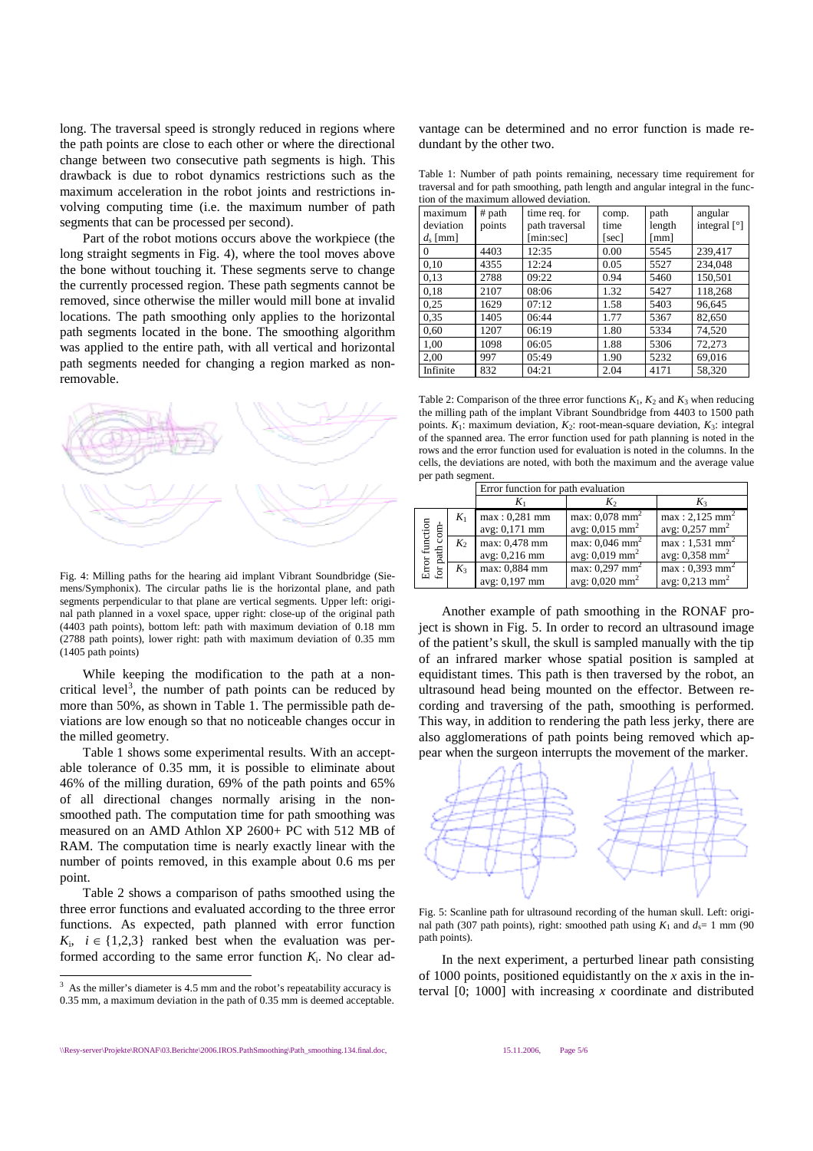long. The traversal speed is strongly reduced in regions where the path points are close to each other or where the directional change between two consecutive path segments is high. This drawback is due to robot dynamics restrictions such as the maximum acceleration in the robot joints and restrictions involving computing time (i.e. the maximum number of path segments that can be processed per second).

Part of the robot motions occurs above the workpiece (the long straight segments in Fig. 4), where the tool moves above the bone without touching it. These segments serve to change the currently processed region. These path segments cannot be removed, since otherwise the miller would mill bone at invalid locations. The path smoothing only applies to the horizontal path segments located in the bone. The smoothing algorithm was applied to the entire path, with all vertical and horizontal path segments needed for changing a region marked as nonremovable.



Fig. 4: Milling paths for the hearing aid implant Vibrant Soundbridge (Siemens/Symphonix). The circular paths lie is the horizontal plane, and path segments perpendicular to that plane are vertical segments. Upper left: original path planned in a voxel space, upper right: close-up of the original path (4403 path points), bottom left: path with maximum deviation of 0.18 mm (2788 path points), lower right: path with maximum deviation of 0.35 mm (1405 path points)

While keeping the modification to the path at a noncritical level<sup>3</sup>, the number of path points can be reduced by more than 50%, as shown in Table 1. The permissible path deviations are low enough so that no noticeable changes occur in the milled geometry.

Table 1 shows some experimental results. With an acceptable tolerance of 0.35 mm, it is possible to eliminate about 46% of the milling duration, 69% of the path points and 65% of all directional changes normally arising in the nonsmoothed path. The computation time for path smoothing was measured on an AMD Athlon XP 2600+ PC with 512 MB of RAM. The computation time is nearly exactly linear with the number of points removed, in this example about 0.6 ms per point.

Table 2 shows a comparison of paths smoothed using the three error functions and evaluated according to the three error functions. As expected, path planned with error function  $K_i$ ,  $i \in \{1,2,3\}$  ranked best when the evaluation was performed according to the same error function  $K_i$ . No clear ad-

vantage can be determined and no error function is made redundant by the other two.

Table 1: Number of path points remaining, necessary time requirement for traversal and for path smoothing, path length and angular integral in the function of the maximum allowed deviation.

| maximum<br>deviation | # path<br>points | time req. for<br>path traversal | comp.<br>time | path<br>length | angular<br>integral $\lceil$ <sup>o</sup> ] |
|----------------------|------------------|---------------------------------|---------------|----------------|---------------------------------------------|
| $d_{s}$ [mm]         |                  | [min:sec]                       | [sec]         | [mm]           |                                             |
| 0                    | 4403             | 12:35                           | 0.00          | 5545           | 239,417                                     |
| 0,10                 | 4355             | 12:24                           | 0.05          | 5527           | 234,048                                     |
| 0.13                 | 2788             | 09:22                           | 0.94          | 5460           | 150,501                                     |
| 0,18                 | 2107             | 08:06                           | 1.32          | 5427           | 118.268                                     |
| 0,25                 | 1629             | 07:12                           | 1.58          | 5403           | 96.645                                      |
| 0.35                 | 1405             | 06:44                           | 1.77          | 5367           | 82,650                                      |
| 0,60                 | 1207             | 06:19                           | 1.80          | 5334           | 74,520                                      |
| 1,00                 | 1098             | 06:05                           | 1.88          | 5306           | 72,273                                      |
| 2,00                 | 997              | 0.5:49                          | 1.90          | 5232           | 69,016                                      |
| Infinite             | 832              | 04:21                           | 2.04          | 4171           | 58,320                                      |

Table 2: Comparison of the three error functions  $K_1$ ,  $K_2$  and  $K_3$  when reducing the milling path of the implant Vibrant Soundbridge from 4403 to 1500 path points. *K*1: maximum deviation, *K*2: root-mean-square deviation, *K*3: integral of the spanned area. The error function used for path planning is noted in the rows and the error function used for evaluation is noted in the columns. In the cells, the deviations are noted, with both the maximum and the average value per path segment.

|                                 |       | Error function for path evaluation |                              |                              |  |  |
|---------------------------------|-------|------------------------------------|------------------------------|------------------------------|--|--|
|                                 |       | $K_1$                              | $K_2$                        | $K_3$                        |  |  |
| Error function<br>for path com- | $K_1$ | $max: 0,281$ mm                    | max: $0,078$ mm <sup>2</sup> | $max: 2,125$ mm <sup>2</sup> |  |  |
|                                 |       | avg: 0,171 mm                      | avg: $0,015$ mm <sup>2</sup> | avg: $0,257$ mm <sup>2</sup> |  |  |
|                                 | $K_2$ | max: 0,478 mm                      | max: $0,046$ mm <sup>2</sup> | $max: 1,531$ mm <sup>2</sup> |  |  |
|                                 |       | avg: 0,216 mm                      | avg: $0,019$ mm <sup>2</sup> | avg: $0,358$ mm <sup>2</sup> |  |  |
|                                 | $K_3$ | max: 0,884 mm                      | max: $0,297$ mm <sup>2</sup> | $max: 0.393$ mm <sup>2</sup> |  |  |
|                                 |       | avg: 0,197 mm                      | avg: $0,020$ mm <sup>2</sup> | avg: $0,213$ mm <sup>2</sup> |  |  |

Another example of path smoothing in the RONAF project is shown in Fig. 5. In order to record an ultrasound image of the patient's skull, the skull is sampled manually with the tip of an infrared marker whose spatial position is sampled at equidistant times. This path is then traversed by the robot, an ultrasound head being mounted on the effector. Between recording and traversing of the path, smoothing is performed. This way, in addition to rendering the path less jerky, there are also agglomerations of path points being removed which appear when the surgeon interrupts the movement of the marker.



Fig. 5: Scanline path for ultrasound recording of the human skull. Left: original path (307 path points), right: smoothed path using  $K_1$  and  $d_s = 1$  mm (90) path points).

In the next experiment, a perturbed linear path consisting of 1000 points, positioned equidistantly on the *x* axis in the interval [0; 1000] with increasing *x* coordinate and distributed

 3 As the miller's diameter is 4.5 mm and the robot's repeatability accuracy is 0.35 mm, a maximum deviation in the path of 0.35 mm is deemed acceptable.